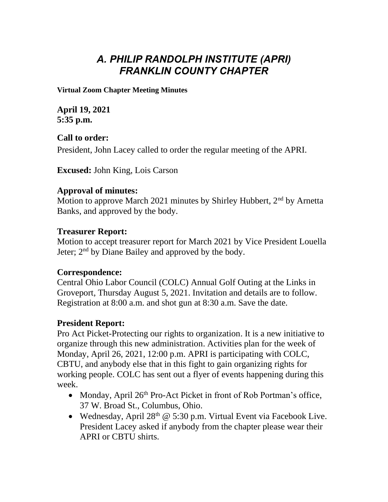# *A. PHILIP RANDOLPH INSTITUTE (APRI) FRANKLIN COUNTY CHAPTER*

**Virtual Zoom Chapter Meeting Minutes**

**April 19, 2021 5:35 p.m.**

**Call to order:** President, John Lacey called to order the regular meeting of the APRI.

**Excused:** John King, Lois Carson

## **Approval of minutes:**

Motion to approve March 2021 minutes by Shirley Hubbert, 2<sup>nd</sup> by Arnetta Banks, and approved by the body.

### **Treasurer Report:**

Motion to accept treasurer report for March 2021 by Vice President Louella Jeter; 2<sup>nd</sup> by Diane Bailey and approved by the body.

#### **Correspondence:**

Central Ohio Labor Council (COLC) Annual Golf Outing at the Links in Groveport, Thursday August 5, 2021. Invitation and details are to follow. Registration at 8:00 a.m. and shot gun at 8:30 a.m. Save the date.

## **President Report:**

Pro Act Picket-Protecting our rights to organization. It is a new initiative to organize through this new administration. Activities plan for the week of Monday, April 26, 2021, 12:00 p.m. APRI is participating with COLC, CBTU, and anybody else that in this fight to gain organizing rights for working people. COLC has sent out a flyer of events happening during this week.

- Monday, April  $26<sup>th</sup>$  Pro-Act Picket in front of Rob Portman's office, 37 W. Broad St., Columbus, Ohio.
- Wednesday, April  $28<sup>th</sup>$  @ 5:30 p.m. Virtual Event via Facebook Live. President Lacey asked if anybody from the chapter please wear their APRI or CBTU shirts.